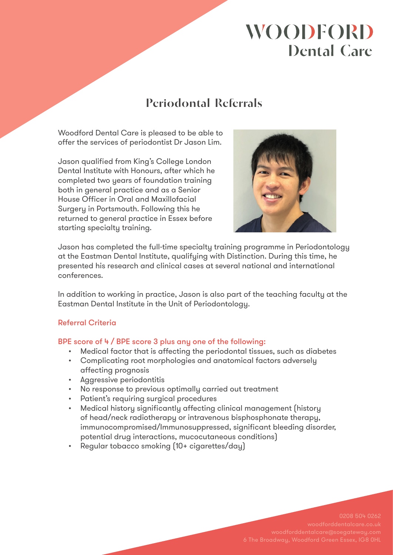# **WOODFORD Dental Care**

## **Periodontal Referrals**

Woodford Dental Care is pleased to be able to offer the services of periodontist Dr Jason Lim.

Jason qualified from King's College London Dental Institute with Honours, after which he completed two years of foundation training both in general practice and as a Senior House Officer in Oral and Maxillofacial Surgery in Portsmouth. Following this he returned to general practice in Essex before starting specialty training.



Jason has completed the full-time specialty training programme in Periodontology at the Eastman Dental Institute, qualifying with Distinction. During this time, he presented his research and clinical cases at several national and international conferences.

In addition to working in practice, Jason is also part of the teaching faculty at the Eastman Dental Institute in the Unit of Periodontology.

## Referral Criteria

## BPE score of 4 / BPE score 3 plus any one of the following:

- Medical factor that is affecting the periodontal tissues, such as diabetes
- Complicating root morphologies and anatomical factors adversely affecting prognosis
- Aggressive periodontitis
- No response to previous optimally carried out treatment
- Patient's requiring surgical procedures
- Medical history significantly affecting clinical management (history of head/neck radiotherapy or intravenous bisphosphonate therapy, immunocompromised/Immunosuppressed, significant bleeding disorder, potential drug interactions, mucocutaneous conditions)
- Regular tobacco smoking (10+ cigarettes/day)